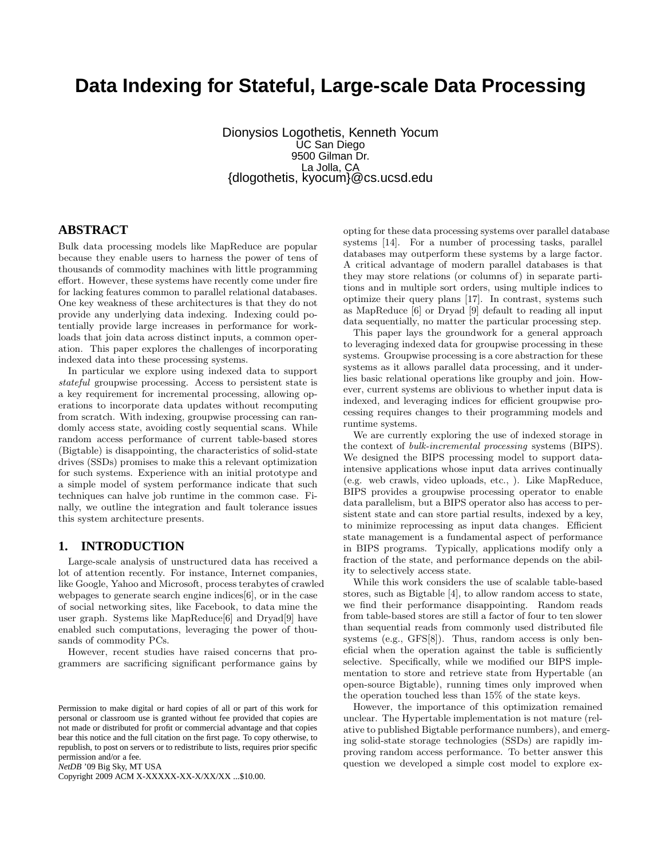# **Data Indexing for Stateful, Large-scale Data Processing**

Dionysios Logothetis, Kenneth Yocum UC San Diego 9500 Gilman Dr. La Jolla, CA {dlogothetis, kyocum}@cs.ucsd.edu

# **ABSTRACT**

Bulk data processing models like MapReduce are popular because they enable users to harness the power of tens of thousands of commodity machines with little programming effort. However, these systems have recently come under fire for lacking features common to parallel relational databases. One key weakness of these architectures is that they do not provide any underlying data indexing. Indexing could potentially provide large increases in performance for workloads that join data across distinct inputs, a common operation. This paper explores the challenges of incorporating indexed data into these processing systems.

In particular we explore using indexed data to support stateful groupwise processing. Access to persistent state is a key requirement for incremental processing, allowing operations to incorporate data updates without recomputing from scratch. With indexing, groupwise processing can randomly access state, avoiding costly sequential scans. While random access performance of current table-based stores (Bigtable) is disappointing, the characteristics of solid-state drives (SSDs) promises to make this a relevant optimization for such systems. Experience with an initial prototype and a simple model of system performance indicate that such techniques can halve job runtime in the common case. Finally, we outline the integration and fault tolerance issues this system architecture presents.

# **1. INTRODUCTION**

Large-scale analysis of unstructured data has received a lot of attention recently. For instance, Internet companies, like Google, Yahoo and Microsoft, process terabytes of crawled webpages to generate search engine indices[6], or in the case of social networking sites, like Facebook, to data mine the user graph. Systems like MapReduce[6] and Dryad[9] have enabled such computations, leveraging the power of thousands of commodity PCs.

However, recent studies have raised concerns that programmers are sacrificing significant performance gains by

*NetDB* '09 Big Sky, MT USA

Copyright 2009 ACM X-XXXXX-XX-X/XX/XX ...\$10.00.

opting for these data processing systems over parallel database systems [14]. For a number of processing tasks, parallel databases may outperform these systems by a large factor. A critical advantage of modern parallel databases is that they may store relations (or columns of) in separate partitions and in multiple sort orders, using multiple indices to optimize their query plans [17]. In contrast, systems such as MapReduce [6] or Dryad [9] default to reading all input data sequentially, no matter the particular processing step.

This paper lays the groundwork for a general approach to leveraging indexed data for groupwise processing in these systems. Groupwise processing is a core abstraction for these systems as it allows parallel data processing, and it underlies basic relational operations like groupby and join. However, current systems are oblivious to whether input data is indexed, and leveraging indices for efficient groupwise processing requires changes to their programming models and runtime systems.

We are currently exploring the use of indexed storage in the context of bulk-incremental processing systems (BIPS). We designed the BIPS processing model to support dataintensive applications whose input data arrives continually (e.g. web crawls, video uploads, etc., ). Like MapReduce, BIPS provides a groupwise processing operator to enable data parallelism, but a BIPS operator also has access to persistent state and can store partial results, indexed by a key, to minimize reprocessing as input data changes. Efficient state management is a fundamental aspect of performance in BIPS programs. Typically, applications modify only a fraction of the state, and performance depends on the ability to selectively access state.

While this work considers the use of scalable table-based stores, such as Bigtable [4], to allow random access to state, we find their performance disappointing. Random reads from table-based stores are still a factor of four to ten slower than sequential reads from commonly used distributed file systems (e.g., GFS[8]). Thus, random access is only beneficial when the operation against the table is sufficiently selective. Specifically, while we modified our BIPS implementation to store and retrieve state from Hypertable (an open-source Bigtable), running times only improved when the operation touched less than 15% of the state keys.

However, the importance of this optimization remained unclear. The Hypertable implementation is not mature (relative to published Bigtable performance numbers), and emerging solid-state storage technologies (SSDs) are rapidly improving random access performance. To better answer this question we developed a simple cost model to explore ex-

Permission to make digital or hard copies of all or part of this work for personal or classroom use is granted without fee provided that copies are not made or distributed for profit or commercial advantage and that copies bear this notice and the full citation on the first page. To copy otherwise, to republish, to post on servers or to redistribute to lists, requires prior specific permission and/or a fee.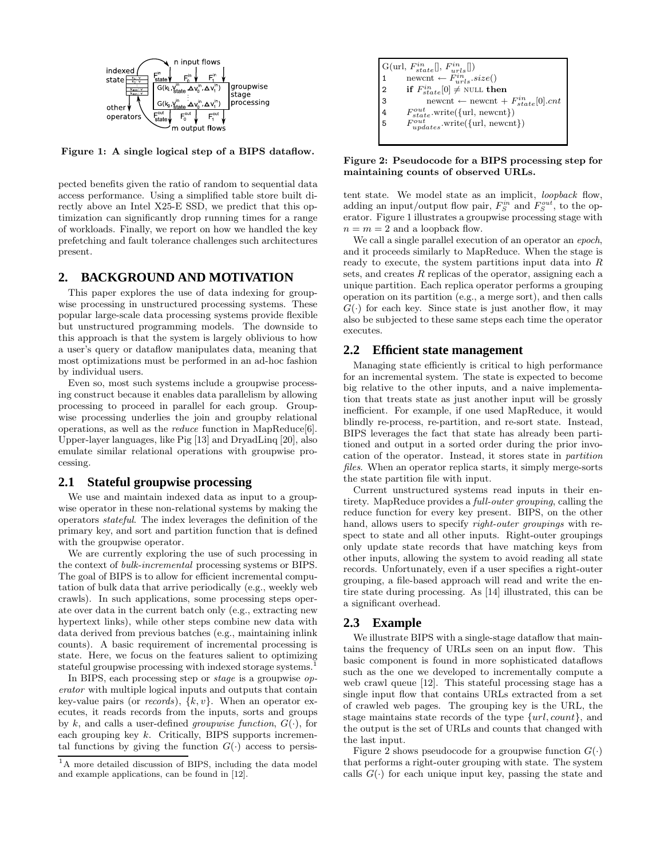

Figure 1: A single logical step of a BIPS dataflow.

pected benefits given the ratio of random to sequential data access performance. Using a simplified table store built directly above an Intel X25-E SSD, we predict that this optimization can significantly drop running times for a range of workloads. Finally, we report on how we handled the key prefetching and fault tolerance challenges such architectures present.

# **2. BACKGROUND AND MOTIVATION**

This paper explores the use of data indexing for groupwise processing in unstructured processing systems. These popular large-scale data processing systems provide flexible but unstructured programming models. The downside to this approach is that the system is largely oblivious to how a user's query or dataflow manipulates data, meaning that most optimizations must be performed in an ad-hoc fashion by individual users.

Even so, most such systems include a groupwise processing construct because it enables data parallelism by allowing processing to proceed in parallel for each group. Groupwise processing underlies the join and groupby relational operations, as well as the reduce function in MapReduce[6]. Upper-layer languages, like Pig [13] and DryadLinq [20], also emulate similar relational operations with groupwise processing.

# **2.1 Stateful groupwise processing**

We use and maintain indexed data as input to a groupwise operator in these non-relational systems by making the operators stateful. The index leverages the definition of the primary key, and sort and partition function that is defined with the groupwise operator.

We are currently exploring the use of such processing in the context of bulk-incremental processing systems or BIPS. The goal of BIPS is to allow for efficient incremental computation of bulk data that arrive periodically (e.g., weekly web crawls). In such applications, some processing steps operate over data in the current batch only (e.g., extracting new hypertext links), while other steps combine new data with data derived from previous batches (e.g., maintaining inlink counts). A basic requirement of incremental processing is state. Here, we focus on the features salient to optimizing stateful groupwise processing with indexed storage systems.<sup>1</sup>

In BIPS, each processing step or stage is a groupwise operator with multiple logical inputs and outputs that contain key-value pairs (or *records*),  $\{k, v\}$ . When an operator executes, it reads records from the inputs, sorts and groups by k, and calls a user-defined *groupwise function*,  $G(\cdot)$ , for each grouping key  $k$ . Critically, BIPS supports incremental functions by giving the function  $G(\cdot)$  access to persis-

| $\mathbf{G}(\text{url},\, F_{state}^{in}[],\, F_{urls}^{in}[])$ |
|-----------------------------------------------------------------|
| newcnt $\leftarrow$ $\ddot{F}_{urls}^{in}.size()$               |
| if $F_{state}^{in}[0] \neq$ NULL then<br>$\overline{2}$         |
| 3<br>newcnt $\leftarrow$ newcnt + $F_{state}^{in}[0].cnt$       |
| $F_{state}^{out}$ .write({url, newcnt})<br>$\overline{4}$       |
| l 5<br>$F_{updates}^{out}$ .write({url, newcnt})                |
|                                                                 |

Figure 2: Pseudocode for a BIPS processing step for maintaining counts of observed URLs.

tent state. We model state as an implicit, loopback flow, adding an input/output flow pair,  $F_S^{in}$  and  $F_S^{out}$ , to the operator. Figure 1 illustrates a groupwise processing stage with  $n = m = 2$  and a loopback flow.

We call a single parallel execution of an operator an *epoch*, and it proceeds similarly to MapReduce. When the stage is ready to execute, the system partitions input data into R sets, and creates R replicas of the operator, assigning each a unique partition. Each replica operator performs a grouping operation on its partition (e.g., a merge sort), and then calls  $G(\cdot)$  for each key. Since state is just another flow, it may also be subjected to these same steps each time the operator executes.

#### **2.2 Efficient state management**

Managing state efficiently is critical to high performance for an incremental system. The state is expected to become big relative to the other inputs, and a naive implementation that treats state as just another input will be grossly inefficient. For example, if one used MapReduce, it would blindly re-process, re-partition, and re-sort state. Instead, BIPS leverages the fact that state has already been partitioned and output in a sorted order during the prior invocation of the operator. Instead, it stores state in partition files. When an operator replica starts, it simply merge-sorts the state partition file with input.

Current unstructured systems read inputs in their entirety. MapReduce provides a full-outer grouping, calling the reduce function for every key present. BIPS, on the other hand, allows users to specify *right-outer groupings* with respect to state and all other inputs. Right-outer groupings only update state records that have matching keys from other inputs, allowing the system to avoid reading all state records. Unfortunately, even if a user specifies a right-outer grouping, a file-based approach will read and write the entire state during processing. As [14] illustrated, this can be a significant overhead.

#### **2.3 Example**

We illustrate BIPS with a single-stage dataflow that maintains the frequency of URLs seen on an input flow. This basic component is found in more sophisticated dataflows such as the one we developed to incrementally compute a web crawl queue [12]. This stateful processing stage has a single input flow that contains URLs extracted from a set of crawled web pages. The grouping key is the URL, the stage maintains state records of the type  $\{url, count\}$ , and the output is the set of URLs and counts that changed with the last input.

Figure 2 shows pseudocode for a groupwise function  $G(\cdot)$ that performs a right-outer grouping with state. The system calls  $G(\cdot)$  for each unique input key, passing the state and

<sup>&</sup>lt;sup>1</sup>A more detailed discussion of BIPS, including the data model and example applications, can be found in [12].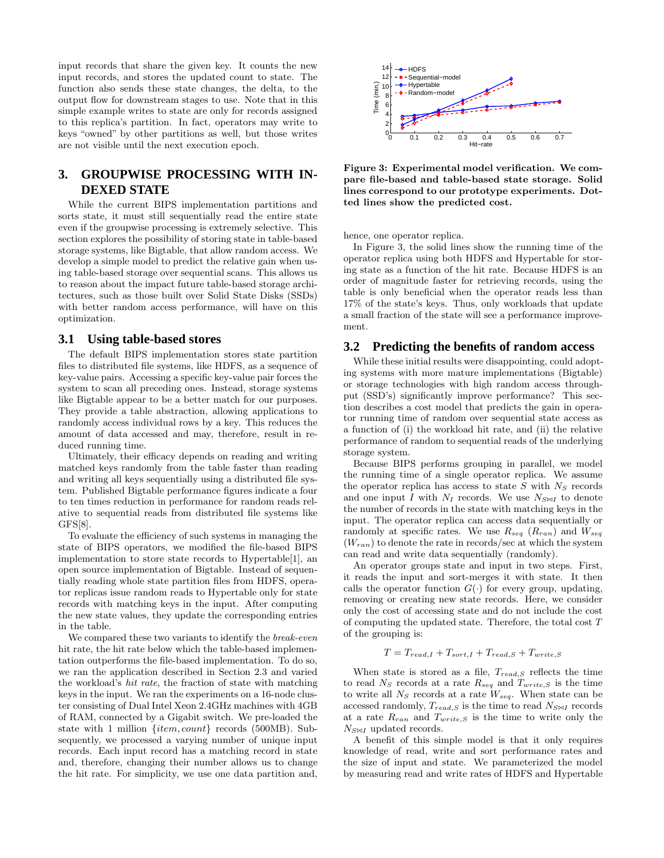input records that share the given key. It counts the new input records, and stores the updated count to state. The function also sends these state changes, the delta, to the output flow for downstream stages to use. Note that in this simple example writes to state are only for records assigned to this replica's partition. In fact, operators may write to keys "owned" by other partitions as well, but those writes are not visible until the next execution epoch.

# **3. GROUPWISE PROCESSING WITH IN-DEXED STATE**

While the current BIPS implementation partitions and sorts state, it must still sequentially read the entire state even if the groupwise processing is extremely selective. This section explores the possibility of storing state in table-based storage systems, like Bigtable, that allow random access. We develop a simple model to predict the relative gain when using table-based storage over sequential scans. This allows us to reason about the impact future table-based storage architectures, such as those built over Solid State Disks (SSDs) with better random access performance, will have on this optimization.

#### **3.1 Using table-based stores**

The default BIPS implementation stores state partition files to distributed file systems, like HDFS, as a sequence of key-value pairs. Accessing a specific key-value pair forces the system to scan all preceding ones. Instead, storage systems like Bigtable appear to be a better match for our purposes. They provide a table abstraction, allowing applications to randomly access individual rows by a key. This reduces the amount of data accessed and may, therefore, result in reduced running time.

Ultimately, their efficacy depends on reading and writing matched keys randomly from the table faster than reading and writing all keys sequentially using a distributed file system. Published Bigtable performance figures indicate a four to ten times reduction in performance for random reads relative to sequential reads from distributed file systems like GFS[8].

To evaluate the efficiency of such systems in managing the state of BIPS operators, we modified the file-based BIPS implementation to store state records to Hypertable[1], an open source implementation of Bigtable. Instead of sequentially reading whole state partition files from HDFS, operator replicas issue random reads to Hypertable only for state records with matching keys in the input. After computing the new state values, they update the corresponding entries in the table.

We compared these two variants to identify the *break-even* hit rate, the hit rate below which the table-based implementation outperforms the file-based implementation. To do so, we ran the application described in Section 2.3 and varied the workload's hit rate, the fraction of state with matching keys in the input. We ran the experiments on a 16-node cluster consisting of Dual Intel Xeon 2.4GHz machines with 4GB of RAM, connected by a Gigabit switch. We pre-loaded the state with 1 million {item, count} records (500MB). Subsequently, we processed a varying number of unique input records. Each input record has a matching record in state and, therefore, changing their number allows us to change the hit rate. For simplicity, we use one data partition and,



Figure 3: Experimental model verification. We compare file-based and table-based state storage. Solid lines correspond to our prototype experiments. Dotted lines show the predicted cost.

hence, one operator replica.

In Figure 3, the solid lines show the running time of the operator replica using both HDFS and Hypertable for storing state as a function of the hit rate. Because HDFS is an order of magnitude faster for retrieving records, using the table is only beneficial when the operator reads less than 17% of the state's keys. Thus, only workloads that update a small fraction of the state will see a performance improvement.

#### **3.2 Predicting the benefits of random access**

While these initial results were disappointing, could adopting systems with more mature implementations (Bigtable) or storage technologies with high random access throughput (SSD's) significantly improve performance? This section describes a cost model that predicts the gain in operator running time of random over sequential state access as a function of (i) the workload hit rate, and (ii) the relative performance of random to sequential reads of the underlying storage system.

Because BIPS performs grouping in parallel, we model the running time of a single operator replica. We assume the operator replica has access to state  $S$  with  $N<sub>S</sub>$  records and one input I with  $N_I$  records. We use  $N_{S\bowtie I}$  to denote the number of records in the state with matching keys in the input. The operator replica can access data sequentially or randomly at specific rates. We use  $R_{seq}$  ( $R_{ran}$ ) and  $W_{seq}$  $(W_{ran})$  to denote the rate in records/sec at which the system can read and write data sequentially (randomly).

An operator groups state and input in two steps. First, it reads the input and sort-merges it with state. It then calls the operator function  $G(\cdot)$  for every group, updating, removing or creating new state records. Here, we consider only the cost of accessing state and do not include the cost of computing the updated state. Therefore, the total cost T of the grouping is:

$$
T = T_{read,I} + T_{sort,I} + T_{read,S} + T_{write,S}
$$

When state is stored as a file,  $T_{read, S}$  reflects the time to read  $N<sub>S</sub>$  records at a rate  $R<sub>seq</sub>$  and  $T<sub>write,S</sub>$  is the time to write all  $N<sub>S</sub>$  records at a rate  $W<sub>seq</sub>$ . When state can be accessed randomly,  $T_{read, S}$  is the time to read  $N_{S\bowtie I}$  records at a rate  $R_{ran}$  and  $T_{write, S}$  is the time to write only the  $N_{S\bowtie I}$  updated records.

A benefit of this simple model is that it only requires knowledge of read, write and sort performance rates and the size of input and state. We parameterized the model by measuring read and write rates of HDFS and Hypertable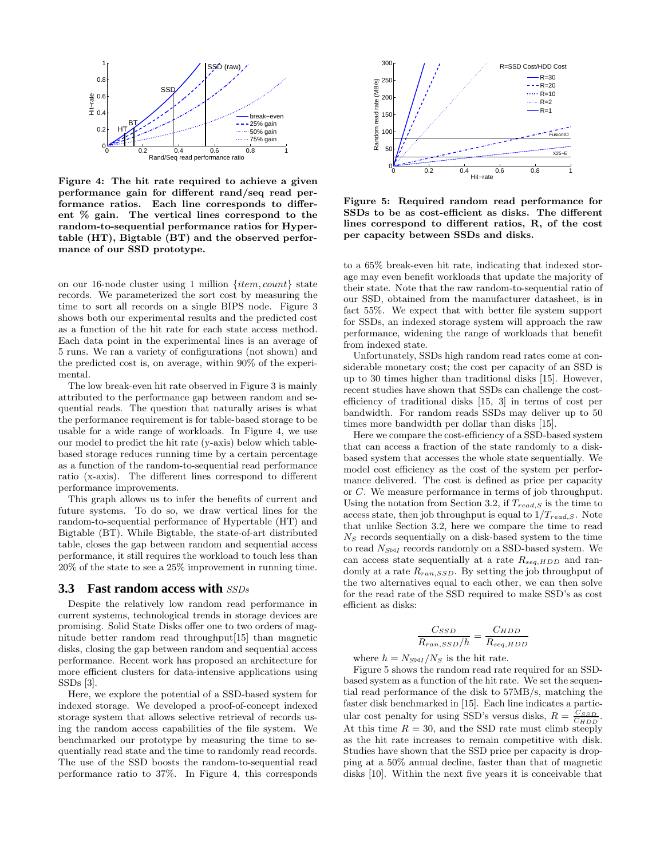

Figure 4: The hit rate required to achieve a given performance gain for different rand/seq read performance ratios. Each line corresponds to different % gain. The vertical lines correspond to the random-to-sequential performance ratios for Hypertable (HT), Bigtable (BT) and the observed performance of our SSD prototype.

on our 16-node cluster using 1 million {item, count} state records. We parameterized the sort cost by measuring the time to sort all records on a single BIPS node. Figure 3 shows both our experimental results and the predicted cost as a function of the hit rate for each state access method. Each data point in the experimental lines is an average of 5 runs. We ran a variety of configurations (not shown) and the predicted cost is, on average, within 90% of the experimental.

The low break-even hit rate observed in Figure 3 is mainly attributed to the performance gap between random and sequential reads. The question that naturally arises is what the performance requirement is for table-based storage to be usable for a wide range of workloads. In Figure 4, we use our model to predict the hit rate (y-axis) below which tablebased storage reduces running time by a certain percentage as a function of the random-to-sequential read performance ratio (x-axis). The different lines correspond to different performance improvements.

This graph allows us to infer the benefits of current and future systems. To do so, we draw vertical lines for the random-to-sequential performance of Hypertable (HT) and Bigtable (BT). While Bigtable, the state-of-art distributed table, closes the gap between random and sequential access performance, it still requires the workload to touch less than 20% of the state to see a 25% improvement in running time.

#### **3.3 Fast random access with** SSDs

Despite the relatively low random read performance in current systems, technological trends in storage devices are promising. Solid State Disks offer one to two orders of magnitude better random read throughput[15] than magnetic disks, closing the gap between random and sequential access performance. Recent work has proposed an architecture for more efficient clusters for data-intensive applications using SSDs [3].

Here, we explore the potential of a SSD-based system for indexed storage. We developed a proof-of-concept indexed storage system that allows selective retrieval of records using the random access capabilities of the file system. We benchmarked our prototype by measuring the time to sequentially read state and the time to randomly read records. The use of the SSD boosts the random-to-sequential read performance ratio to 37%. In Figure 4, this corresponds



Figure 5: Required random read performance for SSDs to be as cost-efficient as disks. The different lines correspond to different ratios, R, of the cost per capacity between SSDs and disks.

to a 65% break-even hit rate, indicating that indexed storage may even benefit workloads that update the majority of their state. Note that the raw random-to-sequential ratio of our SSD, obtained from the manufacturer datasheet, is in fact 55%. We expect that with better file system support for SSDs, an indexed storage system will approach the raw performance, widening the range of workloads that benefit from indexed state.

Unfortunately, SSDs high random read rates come at considerable monetary cost; the cost per capacity of an SSD is up to 30 times higher than traditional disks [15]. However, recent studies have shown that SSDs can challenge the costefficiency of traditional disks [15, 3] in terms of cost per bandwidth. For random reads SSDs may deliver up to 50 times more bandwidth per dollar than disks [15].

Here we compare the cost-efficiency of a SSD-based system that can access a fraction of the state randomly to a diskbased system that accesses the whole state sequentially. We model cost efficiency as the cost of the system per performance delivered. The cost is defined as price per capacity or C. We measure performance in terms of job throughput. Using the notation from Section 3.2, if  $T_{read,S}$  is the time to access state, then job throughput is equal to  $1/T_{read,S}$ . Note that unlike Section 3.2, here we compare the time to read  $N<sub>S</sub>$  records sequentially on a disk-based system to the time to read  $N_{\text{S} \bowtie I}$  records randomly on a SSD-based system. We can access state sequentially at a rate  $R_{seq, HDD}$  and randomly at a rate  $R_{ran,SSD}$ . By setting the job throughput of the two alternatives equal to each other, we can then solve for the read rate of the SSD required to make SSD's as cost efficient as disks:

$$
\frac{C_{SSD}}{R_{ran,SSD}/h} = \frac{C_{HDD}}{R_{seq, HDD}}
$$

where  $h = N_{S\bowtie I}/N_S$  is the hit rate.

Figure 5 shows the random read rate required for an SSDbased system as a function of the hit rate. We set the sequential read performance of the disk to 57MB/s, matching the faster disk benchmarked in [15]. Each line indicates a particular cost penalty for using SSD's versus disks,  $R = \frac{C_{SSD}}{C_{HDD}}$ . At this time  $R = 30$ , and the SSD rate must climb steeply as the hit rate increases to remain competitive with disk. Studies have shown that the SSD price per capacity is dropping at a 50% annual decline, faster than that of magnetic disks [10]. Within the next five years it is conceivable that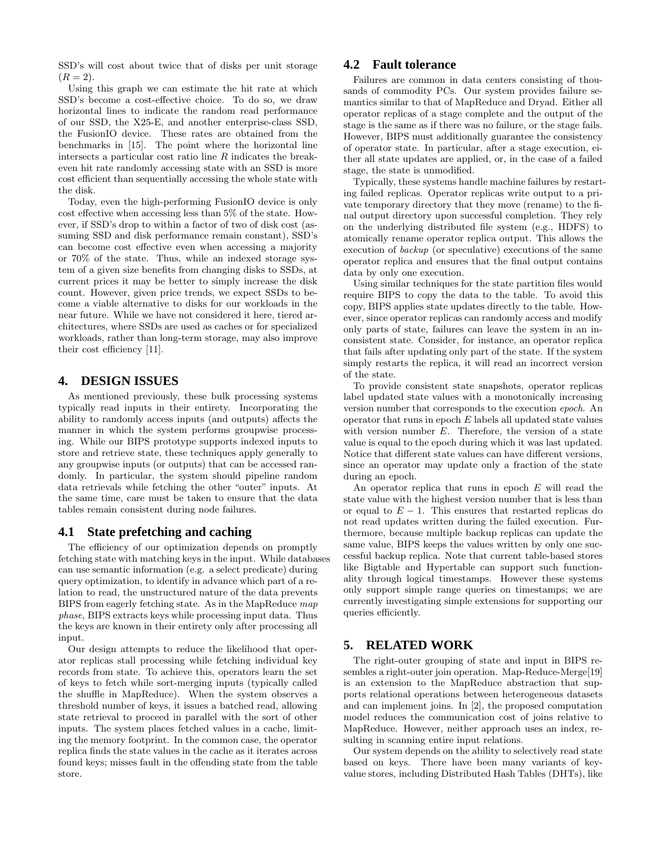SSD's will cost about twice that of disks per unit storage  $(R = 2).$ 

Using this graph we can estimate the hit rate at which SSD's become a cost-effective choice. To do so, we draw horizontal lines to indicate the random read performance of our SSD, the X25-E, and another enterprise-class SSD, the FusionIO device. These rates are obtained from the benchmarks in [15]. The point where the horizontal line intersects a particular cost ratio line  $R$  indicates the breakeven hit rate randomly accessing state with an SSD is more cost efficient than sequentially accessing the whole state with the disk.

Today, even the high-performing FusionIO device is only cost effective when accessing less than 5% of the state. However, if SSD's drop to within a factor of two of disk cost (assuming SSD and disk performance remain constant), SSD's can become cost effective even when accessing a majority or 70% of the state. Thus, while an indexed storage system of a given size benefits from changing disks to SSDs, at current prices it may be better to simply increase the disk count. However, given price trends, we expect SSDs to become a viable alternative to disks for our workloads in the near future. While we have not considered it here, tiered architectures, where SSDs are used as caches or for specialized workloads, rather than long-term storage, may also improve their cost efficiency [11].

# **4. DESIGN ISSUES**

As mentioned previously, these bulk processing systems typically read inputs in their entirety. Incorporating the ability to randomly access inputs (and outputs) affects the manner in which the system performs groupwise processing. While our BIPS prototype supports indexed inputs to store and retrieve state, these techniques apply generally to any groupwise inputs (or outputs) that can be accessed randomly. In particular, the system should pipeline random data retrievals while fetching the other "outer" inputs. At the same time, care must be taken to ensure that the data tables remain consistent during node failures.

# **4.1 State prefetching and caching**

The efficiency of our optimization depends on promptly fetching state with matching keys in the input. While databases can use semantic information (e.g. a select predicate) during query optimization, to identify in advance which part of a relation to read, the unstructured nature of the data prevents BIPS from eagerly fetching state. As in the MapReduce map phase, BIPS extracts keys while processing input data. Thus the keys are known in their entirety only after processing all input.

Our design attempts to reduce the likelihood that operator replicas stall processing while fetching individual key records from state. To achieve this, operators learn the set of keys to fetch while sort-merging inputs (typically called the shuffle in MapReduce). When the system observes a threshold number of keys, it issues a batched read, allowing state retrieval to proceed in parallel with the sort of other inputs. The system places fetched values in a cache, limiting the memory footprint. In the common case, the operator replica finds the state values in the cache as it iterates across found keys; misses fault in the offending state from the table store.

# **4.2 Fault tolerance**

Failures are common in data centers consisting of thousands of commodity PCs. Our system provides failure semantics similar to that of MapReduce and Dryad. Either all operator replicas of a stage complete and the output of the stage is the same as if there was no failure, or the stage fails. However, BIPS must additionally guarantee the consistency of operator state. In particular, after a stage execution, either all state updates are applied, or, in the case of a failed stage, the state is unmodified.

Typically, these systems handle machine failures by restarting failed replicas. Operator replicas write output to a private temporary directory that they move (rename) to the final output directory upon successful completion. They rely on the underlying distributed file system (e.g., HDFS) to atomically rename operator replica output. This allows the execution of backup (or speculative) executions of the same operator replica and ensures that the final output contains data by only one execution.

Using similar techniques for the state partition files would require BIPS to copy the data to the table. To avoid this copy, BIPS applies state updates directly to the table. However, since operator replicas can randomly access and modify only parts of state, failures can leave the system in an inconsistent state. Consider, for instance, an operator replica that fails after updating only part of the state. If the system simply restarts the replica, it will read an incorrect version of the state.

To provide consistent state snapshots, operator replicas label updated state values with a monotonically increasing version number that corresponds to the execution epoch. An operator that runs in epoch  $E$  labels all updated state values with version number E. Therefore, the version of a state value is equal to the epoch during which it was last updated. Notice that different state values can have different versions, since an operator may update only a fraction of the state during an epoch.

An operator replica that runs in epoch  $E$  will read the state value with the highest version number that is less than or equal to  $E - 1$ . This ensures that restarted replicas do not read updates written during the failed execution. Furthermore, because multiple backup replicas can update the same value, BIPS keeps the values written by only one successful backup replica. Note that current table-based stores like Bigtable and Hypertable can support such functionality through logical timestamps. However these systems only support simple range queries on timestamps; we are currently investigating simple extensions for supporting our queries efficiently.

# **5. RELATED WORK**

The right-outer grouping of state and input in BIPS resembles a right-outer join operation. Map-Reduce-Merge[19] is an extension to the MapReduce abstraction that supports relational operations between heterogeneous datasets and can implement joins. In [2], the proposed computation model reduces the communication cost of joins relative to MapReduce. However, neither approach uses an index, resulting in scanning entire input relations.

Our system depends on the ability to selectively read state based on keys. There have been many variants of keyvalue stores, including Distributed Hash Tables (DHTs), like